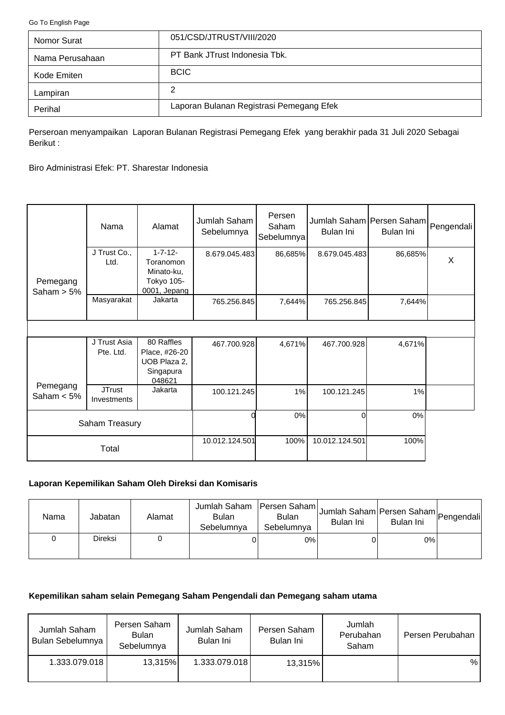<span id="page-0-0"></span>[Go To English Page](#page-2-0)

| Nomor Surat     | 051/CSD/JTRUST/VIII/2020                 |
|-----------------|------------------------------------------|
| Nama Perusahaan | PT Bank JTrust Indonesia Tbk.            |
| Kode Emiten     | <b>BCIC</b>                              |
| Lampiran        | 2                                        |
| Perihal         | Laporan Bulanan Registrasi Pemegang Efek |

Perseroan menyampaikan Laporan Bulanan Registrasi Pemegang Efek yang berakhir pada 31 Juli 2020 Sebagai Berikut :

Biro Administrasi Efek: PT. Sharestar Indonesia

|                           | Nama                         | Alamat                                                                  | Jumlah Saham<br>Sebelumnya | Persen<br>Saham<br>Sebelumnya | Jumlah Saham Persen Saham Pengendali<br>Bulan Ini | Bulan Ini |   |
|---------------------------|------------------------------|-------------------------------------------------------------------------|----------------------------|-------------------------------|---------------------------------------------------|-----------|---|
| Pemegang<br>Saham $> 5\%$ | J Trust Co.,<br>Ltd.         | $1 - 7 - 12 -$<br>Toranomon<br>Minato-ku,<br>Tokyo 105-<br>0001, Jepang | 8.679.045.483              | 86,685%                       | 8.679.045.483                                     | 86,685%   | X |
|                           | Masyarakat                   | Jakarta                                                                 | 765.256.845                | 7,644%                        | 765.256.845                                       | 7,644%    |   |
|                           |                              |                                                                         |                            |                               |                                                   |           |   |
|                           | J Trust Asia<br>Pte. Ltd.    | 80 Raffles<br>Place, #26-20<br>UOB Plaza 2,<br>Singapura<br>048621      | 467.700.928                | 4,671%                        | 467.700.928                                       | 4,671%    |   |
| Pemegang<br>Saham $< 5\%$ | <b>JTrust</b><br>Investments | Jakarta                                                                 | 100.121.245                | 1%                            | 100.121.245                                       | 1%        |   |
|                           | Saham Treasury               |                                                                         |                            | 0%                            | Οl                                                | 0%        |   |
|                           | Total                        |                                                                         | 10.012.124.501             | 100%                          | 10.012.124.501                                    | 100%      |   |

# **Laporan Kepemilikan Saham Oleh Direksi dan Komisaris**

| Nama | Jabatan | Alamat | Jumlah Saham<br><b>Bulan</b><br>Sebelumnya | Persen Saham<br><b>Bulan</b><br>Sebelumnya | Jumlah Saham Persen Saham Pengendali<br>Bulan Ini | Bulan Ini |  |
|------|---------|--------|--------------------------------------------|--------------------------------------------|---------------------------------------------------|-----------|--|
|      | Direksi |        |                                            | 0%                                         |                                                   | $0\%$     |  |

### **Kepemilikan saham selain Pemegang Saham Pengendali dan Pemegang saham utama**

| Jumlah Saham<br>Bulan Sebelumnya | Persen Saham<br>Bulan<br>Sebelumnya | Jumlah Saham<br>Bulan Ini | Persen Saham<br>Bulan Ini | Jumlah<br>Perubahan<br>Saham | Persen Perubahan |
|----------------------------------|-------------------------------------|---------------------------|---------------------------|------------------------------|------------------|
| 1.333.079.018                    | 13,315%                             | 1.333.079.018             | 13,315%                   |                              | %                |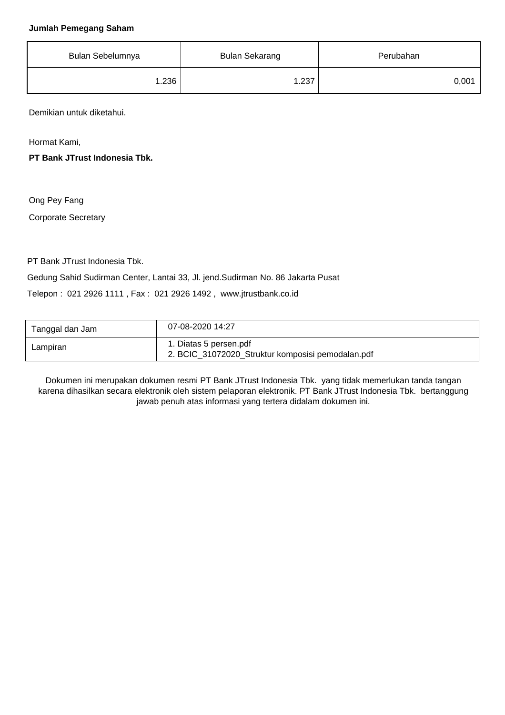#### **Jumlah Pemegang Saham**

| Bulan Sebelumnya | <b>Bulan Sekarang</b> | Perubahan |
|------------------|-----------------------|-----------|
| 1.236            | 1.237                 | 0,001     |

Demikian untuk diketahui.

Hormat Kami,

**PT Bank JTrust Indonesia Tbk.**

Ong Pey Fang

Corporate Secretary

PT Bank JTrust Indonesia Tbk.

Gedung Sahid Sudirman Center, Lantai 33, Jl. jend.Sudirman No. 86 Jakarta Pusat

Telepon : 021 2926 1111 , Fax : 021 2926 1492 , www.jtrustbank.co.id

| Tanggal dan Jam | 07-08-2020 14:27                                                            |
|-----------------|-----------------------------------------------------------------------------|
| Lampiran        | 1. Diatas 5 persen.pdf<br>2. BCIC_31072020_Struktur komposisi pemodalan.pdf |

Dokumen ini merupakan dokumen resmi PT Bank JTrust Indonesia Tbk. yang tidak memerlukan tanda tangan karena dihasilkan secara elektronik oleh sistem pelaporan elektronik. PT Bank JTrust Indonesia Tbk. bertanggung jawab penuh atas informasi yang tertera didalam dokumen ini.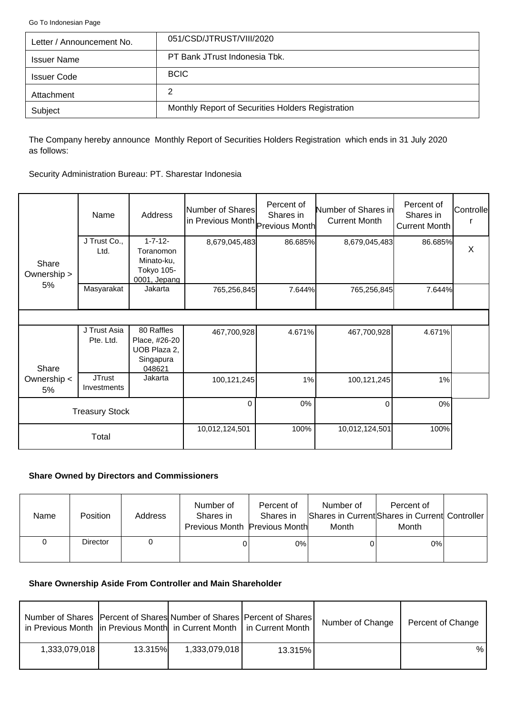<span id="page-2-0"></span>[Go To Indonesian Page](#page-0-0)

| Letter / Announcement No. | 051/CSD/JTRUST/VIII/2020                          |
|---------------------------|---------------------------------------------------|
| <b>Issuer Name</b>        | PT Bank JTrust Indonesia Tbk.                     |
| <b>Issuer Code</b>        | <b>BCIC</b>                                       |
| Attachment                | 2                                                 |
| Subject                   | Monthly Report of Securities Holders Registration |

The Company hereby announce Monthly Report of Securities Holders Registration which ends in 31 July 2020 as follows:

Security Administration Bureau: PT. Sharestar Indonesia

|                      | Name                         | Address                                                                 | Number of Shares<br>in Previous Month Previous Month | Percent of<br>Shares in | Number of Shares in<br><b>Current Month</b> | Percent of<br>Shares in<br>Current Month | Controlle |
|----------------------|------------------------------|-------------------------------------------------------------------------|------------------------------------------------------|-------------------------|---------------------------------------------|------------------------------------------|-----------|
| Share<br>Ownership > | J Trust Co.,<br>Ltd.         | $1 - 7 - 12 -$<br>Toranomon<br>Minato-ku,<br>Tokyo 105-<br>0001, Jepang | 8,679,045,483                                        | 86.685%                 | 8,679,045,483                               | 86.685%                                  | $\sf X$   |
| 5%                   | Masyarakat                   | Jakarta                                                                 | 765,256,845                                          | 7.644%                  | 765,256,845                                 | 7.644%                                   |           |
|                      |                              |                                                                         |                                                      |                         |                                             |                                          |           |
| Share                | J Trust Asia<br>Pte. Ltd.    | 80 Raffles<br>Place, #26-20<br>UOB Plaza 2,<br>Singapura<br>048621      | 467,700,928                                          | 4.671%                  | 467,700,928                                 | 4.671%                                   |           |
| Ownership <<br>5%    | <b>JTrust</b><br>Investments | Jakarta                                                                 | 100,121,245                                          | 1%                      | 100,121,245                                 | 1%                                       |           |
|                      | <b>Treasury Stock</b>        |                                                                         | $\Omega$                                             | 0%                      | $\Omega$                                    | $0\%$                                    |           |
|                      | Total                        |                                                                         | 10,012,124,501                                       | 100%                    | 10,012,124,501                              | 100%                                     |           |

### **Share Owned by Directors and Commissioners**

| Name | <b>Position</b> | Address | Number of<br>Shares in<br>Previous Month Previous Month | Percent of<br>Shares in | Number of<br>Month | Percent of<br>Shares in Current Shares in Current Controller<br>Month |  |
|------|-----------------|---------|---------------------------------------------------------|-------------------------|--------------------|-----------------------------------------------------------------------|--|
|      | <b>Director</b> |         |                                                         | 0%                      | 0                  | $0\%$                                                                 |  |

# **Share Ownership Aside From Controller and Main Shareholder**

| Number of Shares   Percent of Shares  Number of Shares   Percent of Shares  <br>in Previous Month   in Previous Month   in Current Month   in Current Month |                |               |         | Number of Change | Percent of Change |
|-------------------------------------------------------------------------------------------------------------------------------------------------------------|----------------|---------------|---------|------------------|-------------------|
| 1,333,079,018                                                                                                                                               | <b>13.315%</b> | 1,333,079,018 | 13.315% |                  | %                 |